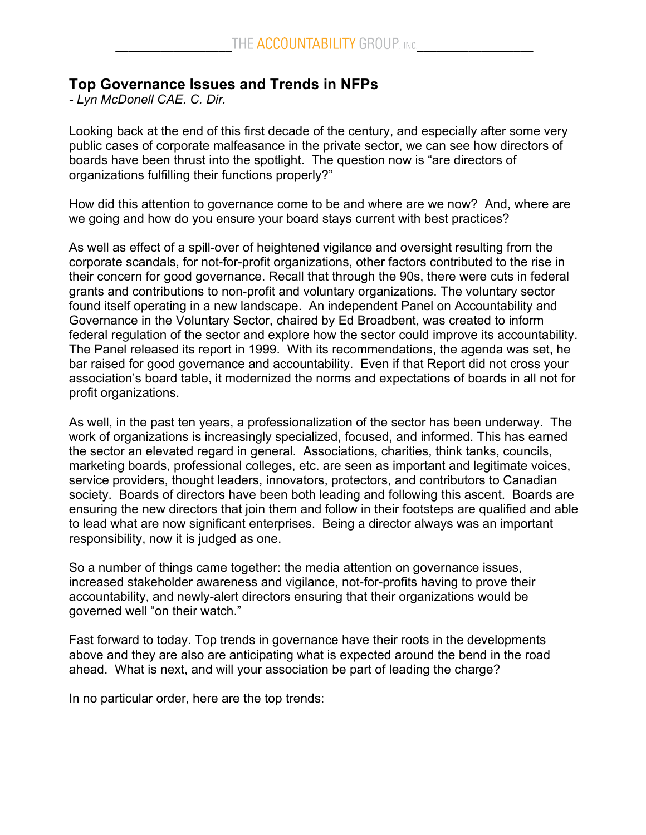# **Top Governance Issues and Trends in NFPs**

*- Lyn McDonell CAE. C. Dir.*

Looking back at the end of this first decade of the century, and especially after some very public cases of corporate malfeasance in the private sector, we can see how directors of boards have been thrust into the spotlight. The question now is "are directors of organizations fulfilling their functions properly?"

How did this attention to governance come to be and where are we now? And, where are we going and how do you ensure your board stays current with best practices?

As well as effect of a spill-over of heightened vigilance and oversight resulting from the corporate scandals, for not-for-profit organizations, other factors contributed to the rise in their concern for good governance. Recall that through the 90s, there were cuts in federal grants and contributions to non-profit and voluntary organizations. The voluntary sector found itself operating in a new landscape. An independent Panel on Accountability and Governance in the Voluntary Sector, chaired by Ed Broadbent, was created to inform federal regulation of the sector and explore how the sector could improve its accountability. The Panel released its report in 1999. With its recommendations, the agenda was set, he bar raised for good governance and accountability. Even if that Report did not cross your association's board table, it modernized the norms and expectations of boards in all not for profit organizations.

As well, in the past ten years, a professionalization of the sector has been underway. The work of organizations is increasingly specialized, focused, and informed. This has earned the sector an elevated regard in general. Associations, charities, think tanks, councils, marketing boards, professional colleges, etc. are seen as important and legitimate voices, service providers, thought leaders, innovators, protectors, and contributors to Canadian society. Boards of directors have been both leading and following this ascent. Boards are ensuring the new directors that join them and follow in their footsteps are qualified and able to lead what are now significant enterprises. Being a director always was an important responsibility, now it is judged as one.

So a number of things came together: the media attention on governance issues, increased stakeholder awareness and vigilance, not-for-profits having to prove their accountability, and newly-alert directors ensuring that their organizations would be governed well "on their watch."

Fast forward to today. Top trends in governance have their roots in the developments above and they are also are anticipating what is expected around the bend in the road ahead. What is next, and will your association be part of leading the charge?

In no particular order, here are the top trends: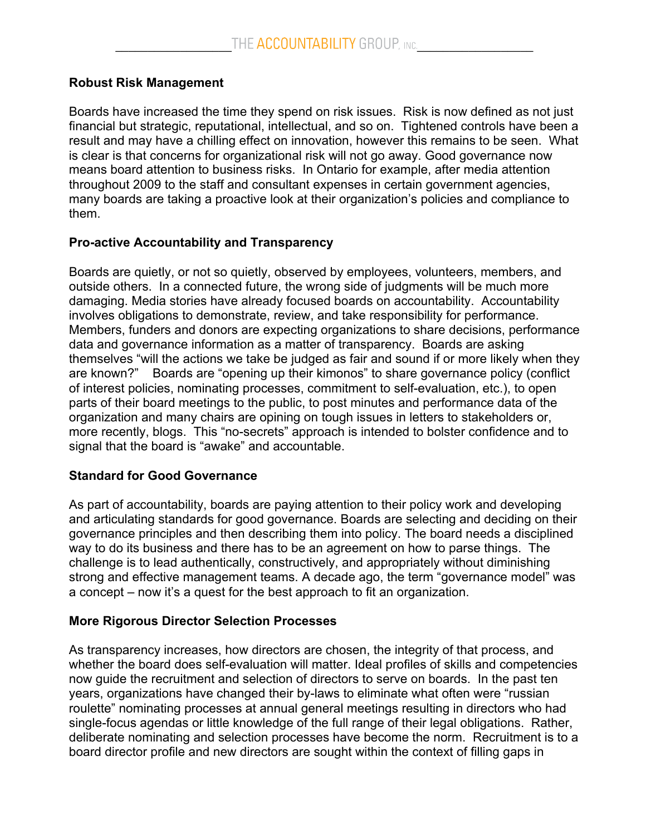## **Robust Risk Management**

Boards have increased the time they spend on risk issues. Risk is now defined as not just financial but strategic, reputational, intellectual, and so on. Tightened controls have been a result and may have a chilling effect on innovation, however this remains to be seen. What is clear is that concerns for organizational risk will not go away. Good governance now means board attention to business risks. In Ontario for example, after media attention throughout 2009 to the staff and consultant expenses in certain government agencies, many boards are taking a proactive look at their organization's policies and compliance to them.

## **Pro-active Accountability and Transparency**

Boards are quietly, or not so quietly, observed by employees, volunteers, members, and outside others. In a connected future, the wrong side of judgments will be much more damaging. Media stories have already focused boards on accountability. Accountability involves obligations to demonstrate, review, and take responsibility for performance. Members, funders and donors are expecting organizations to share decisions, performance data and governance information as a matter of transparency. Boards are asking themselves "will the actions we take be judged as fair and sound if or more likely when they are known?" Boards are "opening up their kimonos" to share governance policy (conflict of interest policies, nominating processes, commitment to self-evaluation, etc.), to open parts of their board meetings to the public, to post minutes and performance data of the organization and many chairs are opining on tough issues in letters to stakeholders or, more recently, blogs. This "no-secrets" approach is intended to bolster confidence and to signal that the board is "awake" and accountable.

## **Standard for Good Governance**

As part of accountability, boards are paying attention to their policy work and developing and articulating standards for good governance. Boards are selecting and deciding on their governance principles and then describing them into policy. The board needs a disciplined way to do its business and there has to be an agreement on how to parse things. The challenge is to lead authentically, constructively, and appropriately without diminishing strong and effective management teams. A decade ago, the term "governance model" was a concept – now it's a quest for the best approach to fit an organization.

# **More Rigorous Director Selection Processes**

As transparency increases, how directors are chosen, the integrity of that process, and whether the board does self-evaluation will matter. Ideal profiles of skills and competencies now guide the recruitment and selection of directors to serve on boards. In the past ten years, organizations have changed their by-laws to eliminate what often were "russian roulette" nominating processes at annual general meetings resulting in directors who had single-focus agendas or little knowledge of the full range of their legal obligations. Rather, deliberate nominating and selection processes have become the norm. Recruitment is to a board director profile and new directors are sought within the context of filling gaps in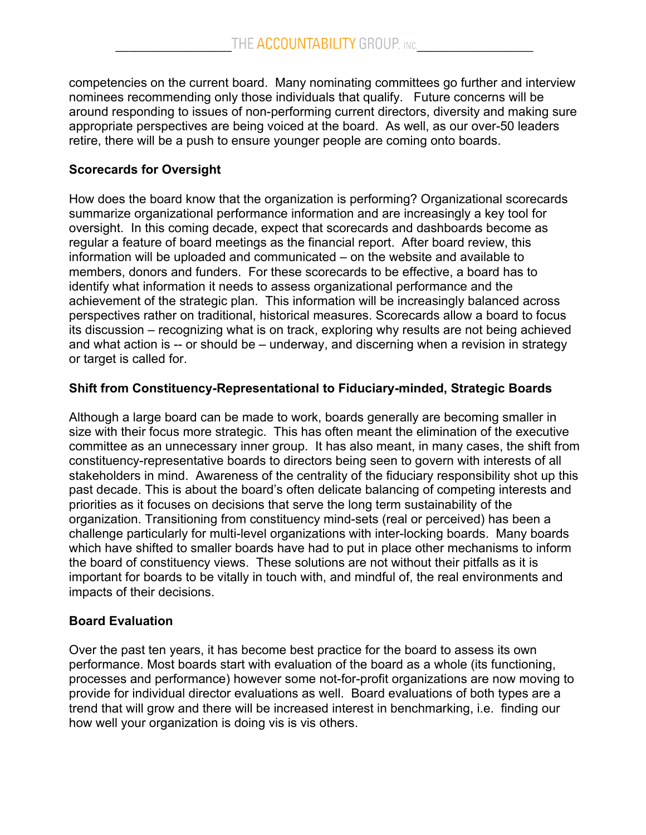competencies on the current board. Many nominating committees go further and interview nominees recommending only those individuals that qualify. Future concerns will be around responding to issues of non-performing current directors, diversity and making sure appropriate perspectives are being voiced at the board. As well, as our over-50 leaders retire, there will be a push to ensure younger people are coming onto boards.

# **Scorecards for Oversight**

How does the board know that the organization is performing? Organizational scorecards summarize organizational performance information and are increasingly a key tool for oversight. In this coming decade, expect that scorecards and dashboards become as regular a feature of board meetings as the financial report. After board review, this information will be uploaded and communicated – on the website and available to members, donors and funders. For these scorecards to be effective, a board has to identify what information it needs to assess organizational performance and the achievement of the strategic plan. This information will be increasingly balanced across perspectives rather on traditional, historical measures. Scorecards allow a board to focus its discussion – recognizing what is on track, exploring why results are not being achieved and what action is -- or should be – underway, and discerning when a revision in strategy or target is called for.

# **Shift from Constituency-Representational to Fiduciary-minded, Strategic Boards**

Although a large board can be made to work, boards generally are becoming smaller in size with their focus more strategic. This has often meant the elimination of the executive committee as an unnecessary inner group. It has also meant, in many cases, the shift from constituency-representative boards to directors being seen to govern with interests of all stakeholders in mind. Awareness of the centrality of the fiduciary responsibility shot up this past decade. This is about the board's often delicate balancing of competing interests and priorities as it focuses on decisions that serve the long term sustainability of the organization. Transitioning from constituency mind-sets (real or perceived) has been a challenge particularly for multi-level organizations with inter-locking boards. Many boards which have shifted to smaller boards have had to put in place other mechanisms to inform the board of constituency views. These solutions are not without their pitfalls as it is important for boards to be vitally in touch with, and mindful of, the real environments and impacts of their decisions.

# **Board Evaluation**

Over the past ten years, it has become best practice for the board to assess its own performance. Most boards start with evaluation of the board as a whole (its functioning, processes and performance) however some not-for-profit organizations are now moving to provide for individual director evaluations as well. Board evaluations of both types are a trend that will grow and there will be increased interest in benchmarking, i.e. finding our how well your organization is doing vis is vis others.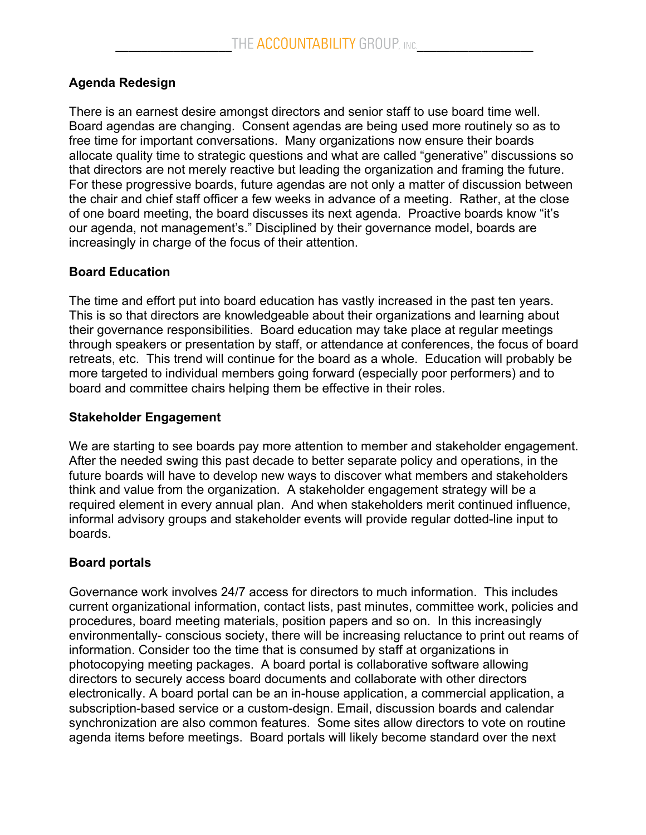# **Agenda Redesign**

There is an earnest desire amongst directors and senior staff to use board time well. Board agendas are changing. Consent agendas are being used more routinely so as to free time for important conversations. Many organizations now ensure their boards allocate quality time to strategic questions and what are called "generative" discussions so that directors are not merely reactive but leading the organization and framing the future. For these progressive boards, future agendas are not only a matter of discussion between the chair and chief staff officer a few weeks in advance of a meeting. Rather, at the close of one board meeting, the board discusses its next agenda. Proactive boards know "it's our agenda, not management's." Disciplined by their governance model, boards are increasingly in charge of the focus of their attention.

### **Board Education**

The time and effort put into board education has vastly increased in the past ten years. This is so that directors are knowledgeable about their organizations and learning about their governance responsibilities. Board education may take place at regular meetings through speakers or presentation by staff, or attendance at conferences, the focus of board retreats, etc. This trend will continue for the board as a whole. Education will probably be more targeted to individual members going forward (especially poor performers) and to board and committee chairs helping them be effective in their roles.

### **Stakeholder Engagement**

We are starting to see boards pay more attention to member and stakeholder engagement. After the needed swing this past decade to better separate policy and operations, in the future boards will have to develop new ways to discover what members and stakeholders think and value from the organization. A stakeholder engagement strategy will be a required element in every annual plan. And when stakeholders merit continued influence, informal advisory groups and stakeholder events will provide regular dotted-line input to boards.

## **Board portals**

Governance work involves 24/7 access for directors to much information. This includes current organizational information, contact lists, past minutes, committee work, policies and procedures, board meeting materials, position papers and so on. In this increasingly environmentally- conscious society, there will be increasing reluctance to print out reams of information. Consider too the time that is consumed by staff at organizations in photocopying meeting packages. A board portal is collaborative software allowing directors to securely access board documents and collaborate with other directors electronically. A board portal can be an in-house application, a commercial application, a subscription-based service or a custom-design. Email, discussion boards and calendar synchronization are also common features. Some sites allow directors to vote on routine agenda items before meetings. Board portals will likely become standard over the next